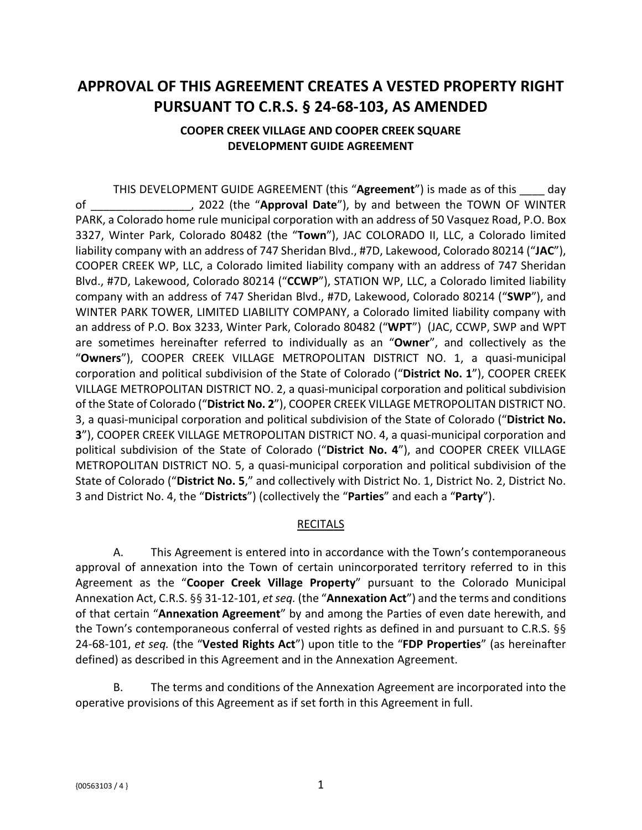# **APPROVAL OF THIS AGREEMENT CREATES A VESTED PROPERTY RIGHT PURSUANT TO C.R.S. § 24-68-103, AS AMENDED**

# **COOPER CREEK VILLAGE AND COOPER CREEK SQUARE DEVELOPMENT GUIDE AGREEMENT**

THIS DEVELOPMENT GUIDE AGREEMENT (this "**Agreement**") is made as of this \_\_\_\_ day of \_\_\_\_\_\_\_\_\_\_\_\_\_\_\_\_, 2022 (the "**Approval Date**"), by and between the TOWN OF WINTER PARK, a Colorado home rule municipal corporation with an address of 50 Vasquez Road, P.O. Box 3327, Winter Park, Colorado 80482 (the "**Town**"), JAC COLORADO II, LLC, a Colorado limited liability company with an address of 747 Sheridan Blvd., #7D, Lakewood, Colorado 80214 ("**JAC**"), COOPER CREEK WP, LLC, a Colorado limited liability company with an address of 747 Sheridan Blvd., #7D, Lakewood, Colorado 80214 ("**CCWP**"), STATION WP, LLC, a Colorado limited liability company with an address of 747 Sheridan Blvd., #7D, Lakewood, Colorado 80214 ("**SWP**"), and WINTER PARK TOWER, LIMITED LIABILITY COMPANY, a Colorado limited liability company with an address of P.O. Box 3233, Winter Park, Colorado 80482 ("**WPT**") (JAC, CCWP, SWP and WPT are sometimes hereinafter referred to individually as an "**Owner**", and collectively as the "**Owners**"), COOPER CREEK VILLAGE METROPOLITAN DISTRICT NO. 1, a quasi-municipal corporation and political subdivision of the State of Colorado ("**District No. 1**"), COOPER CREEK VILLAGE METROPOLITAN DISTRICT NO. 2, a quasi-municipal corporation and political subdivision of the State of Colorado ("**District No. 2**"), COOPER CREEK VILLAGE METROPOLITAN DISTRICT NO. 3, a quasi-municipal corporation and political subdivision of the State of Colorado ("**District No. 3**"), COOPER CREEK VILLAGE METROPOLITAN DISTRICT NO. 4, a quasi-municipal corporation and political subdivision of the State of Colorado ("**District No. 4**"), and COOPER CREEK VILLAGE METROPOLITAN DISTRICT NO. 5, a quasi-municipal corporation and political subdivision of the State of Colorado ("**District No. 5**," and collectively with District No. 1, District No. 2, District No. 3 and District No. 4, the "**Districts**") (collectively the "**Parties**" and each a "**Party**").

### **RECITALS**

A. This Agreement is entered into in accordance with the Town's contemporaneous approval of annexation into the Town of certain unincorporated territory referred to in this Agreement as the "**Cooper Creek Village Property**" pursuant to the Colorado Municipal Annexation Act, C.R.S. §§ 31-12-101, *et seq.* (the "**Annexation Act**") and the terms and conditions of that certain "**Annexation Agreement**" by and among the Parties of even date herewith, and the Town's contemporaneous conferral of vested rights as defined in and pursuant to C.R.S. §§ 24-68-101, *et seq.* (the "**Vested Rights Act**") upon title to the "**FDP Properties**" (as hereinafter defined) as described in this Agreement and in the Annexation Agreement.

B. The terms and conditions of the Annexation Agreement are incorporated into the operative provisions of this Agreement as if set forth in this Agreement in full.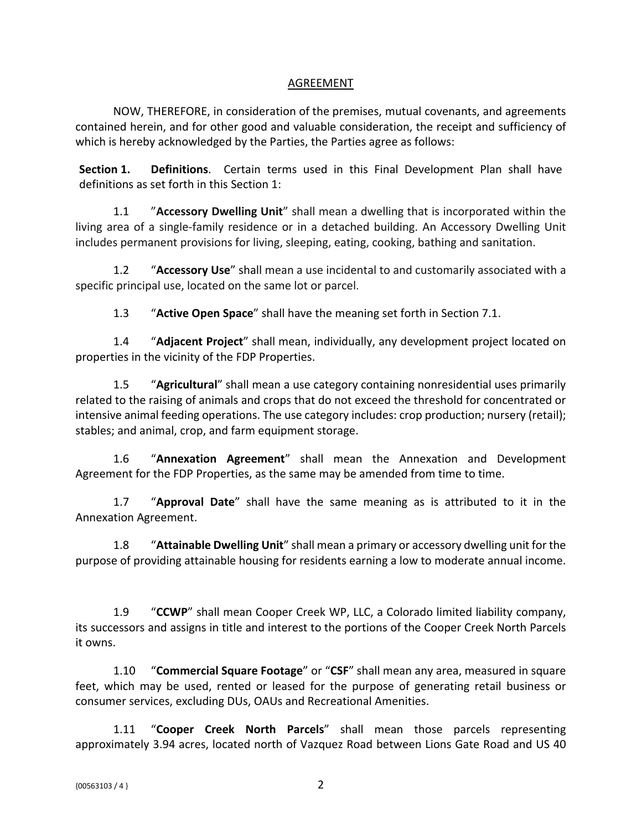### AGREEMENT

NOW, THEREFORE, in consideration of the premises, mutual covenants, and agreements contained herein, and for other good and valuable consideration, the receipt and sufficiency of which is hereby acknowledged by the Parties, the Parties agree as follows:

**Section 1. Definitions**. Certain terms used in this Final Development Plan shall have definitions as set forth in this Section 1:

1.1 "**Accessory Dwelling Unit**" shall mean a dwelling that is incorporated within the living area of a single-family residence or in a detached building. An Accessory Dwelling Unit includes permanent provisions for living, sleeping, eating, cooking, bathing and sanitation.

1.2 "**Accessory Use**" shall mean a use incidental to and customarily associated with a specific principal use, located on the same lot or parcel.

1.3 "**Active Open Space**" shall have the meaning set forth in Section 7.1.

1.4 "**Adjacent Project**" shall mean, individually, any development project located on properties in the vicinity of the FDP Properties.

1.5 "**Agricultural**" shall mean a use category containing nonresidential uses primarily related to the raising of animals and crops that do not exceed the threshold for concentrated or intensive animal feeding operations. The use category includes: crop production; nursery (retail); stables; and animal, crop, and farm equipment storage.

1.6 "**Annexation Agreement**" shall mean the Annexation and Development Agreement for the FDP Properties, as the same may be amended from time to time.

1.7 "**Approval Date**" shall have the same meaning as is attributed to it in the Annexation Agreement.

1.8 "**Attainable Dwelling Unit**" shall mean a primary or accessory dwelling unit for the purpose of providing attainable housing for residents earning a low to moderate annual income.

1.9 "**CCWP**" shall mean Cooper Creek WP, LLC, a Colorado limited liability company, its successors and assigns in title and interest to the portions of the Cooper Creek North Parcels it owns.

1.10 "**Commercial Square Footage**" or "**CSF**" shall mean any area, measured in square feet, which may be used, rented or leased for the purpose of generating retail business or consumer services, excluding DUs, OAUs and Recreational Amenities.

1.11 "**Cooper Creek North Parcels**" shall mean those parcels representing approximately 3.94 acres, located north of Vazquez Road between Lions Gate Road and US 40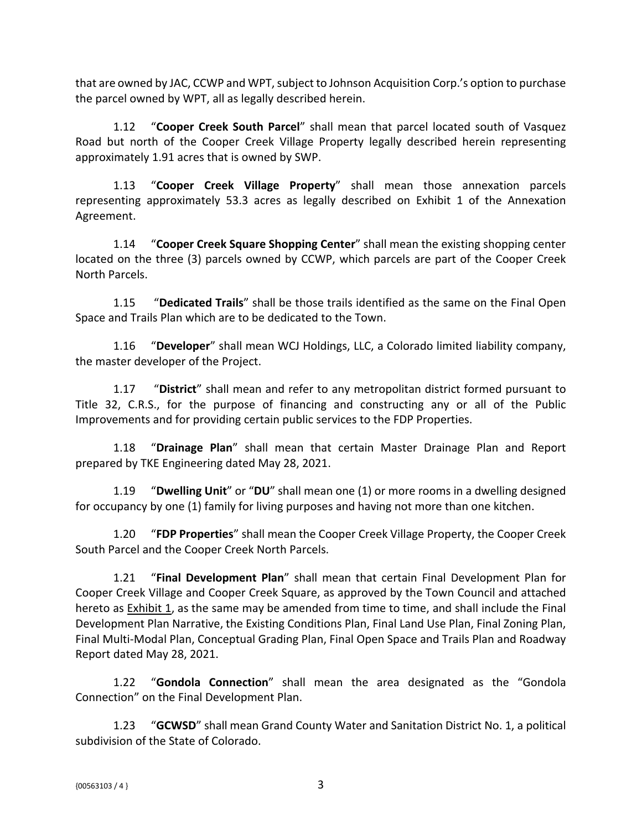that are owned by JAC, CCWP and WPT, subject to Johnson Acquisition Corp.'s option to purchase the parcel owned by WPT, all as legally described herein.

1.12 "**Cooper Creek South Parcel**" shall mean that parcel located south of Vasquez Road but north of the Cooper Creek Village Property legally described herein representing approximately 1.91 acres that is owned by SWP.

1.13 "**Cooper Creek Village Property**" shall mean those annexation parcels representing approximately 53.3 acres as legally described on Exhibit 1 of the Annexation Agreement.

1.14 "**Cooper Creek Square Shopping Center**" shall mean the existing shopping center located on the three (3) parcels owned by CCWP, which parcels are part of the Cooper Creek North Parcels.

1.15 "**Dedicated Trails**" shall be those trails identified as the same on the Final Open Space and Trails Plan which are to be dedicated to the Town.

1.16 "**Developer**" shall mean WCJ Holdings, LLC, a Colorado limited liability company, the master developer of the Project.

1.17 "**District**" shall mean and refer to any metropolitan district formed pursuant to Title 32, C.R.S., for the purpose of financing and constructing any or all of the Public Improvements and for providing certain public services to the FDP Properties.

1.18 "**Drainage Plan**" shall mean that certain Master Drainage Plan and Report prepared by TKE Engineering dated May 28, 2021.

1.19 "**Dwelling Unit**" or "**DU**" shall mean one (1) or more rooms in a dwelling designed for occupancy by one (1) family for living purposes and having not more than one kitchen.

1.20 "**FDP Properties**" shall mean the Cooper Creek Village Property, the Cooper Creek South Parcel and the Cooper Creek North Parcels.

1.21 "**Final Development Plan**" shall mean that certain Final Development Plan for Cooper Creek Village and Cooper Creek Square, as approved by the Town Council and attached hereto as **Exhibit 1**, as the same may be amended from time to time, and shall include the Final Development Plan Narrative, the Existing Conditions Plan, Final Land Use Plan, Final Zoning Plan, Final Multi-Modal Plan, Conceptual Grading Plan, Final Open Space and Trails Plan and Roadway Report dated May 28, 2021.

1.22 "**Gondola Connection**" shall mean the area designated as the "Gondola Connection" on the Final Development Plan.

1.23 "**GCWSD**" shall mean Grand County Water and Sanitation District No. 1, a political subdivision of the State of Colorado.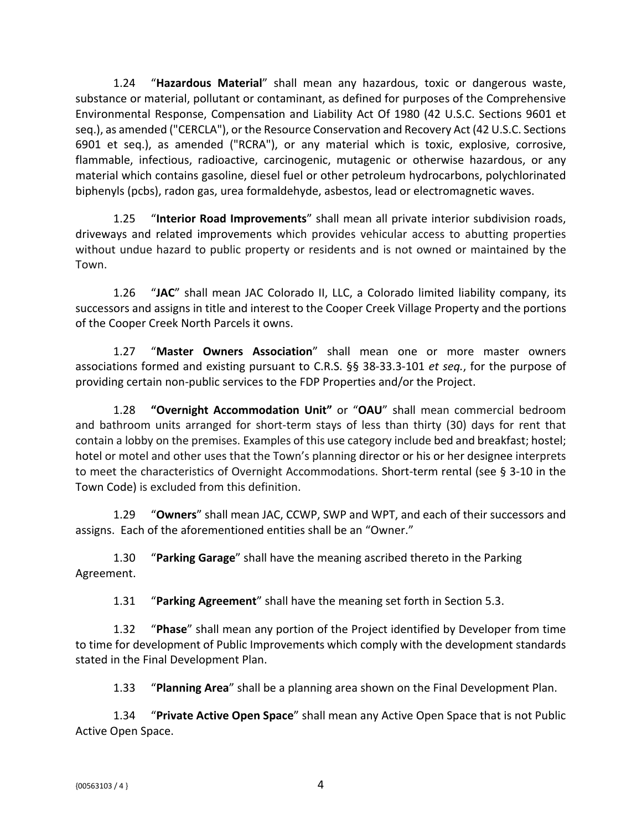1.24 "**Hazardous Material**" shall mean any hazardous, toxic or dangerous waste, substance or material, pollutant or contaminant, as defined for purposes of the Comprehensive Environmental Response, Compensation and Liability Act Of 1980 (42 U.S.C. Sections 9601 et seq.), as amended ("CERCLA"), or the Resource Conservation and Recovery Act (42 U.S.C. Sections 6901 et seq.), as amended ("RCRA"), or any material which is toxic, explosive, corrosive, flammable, infectious, radioactive, carcinogenic, mutagenic or otherwise hazardous, or any material which contains gasoline, diesel fuel or other petroleum hydrocarbons, polychlorinated biphenyls (pcbs), radon gas, urea formaldehyde, asbestos, lead or electromagnetic waves.

1.25 "**Interior Road Improvements**" shall mean all private interior subdivision roads, driveways and related improvements which provides vehicular access to abutting properties without undue hazard to public property or residents and is not owned or maintained by the Town.

1.26 "**JAC**" shall mean JAC Colorado II, LLC, a Colorado limited liability company, its successors and assigns in title and interest to the Cooper Creek Village Property and the portions of the Cooper Creek North Parcels it owns.

1.27 "**Master Owners Association**" shall mean one or more master owners associations formed and existing pursuant to C.R.S. §§ 38-33.3-101 *et seq.*, for the purpose of providing certain non-public services to the FDP Properties and/or the Project.

1.28 **"Overnight Accommodation Unit"** or "**OAU**" shall mean commercial bedroom and bathroom units arranged for short-term stays of less than thirty (30) days for rent that contain a lobby on the premises. Examples of this use category include bed and breakfast; hostel; hotel or motel and other uses that the Town's planning director or his or her designee interprets to meet the characteristics of Overnight Accommodations. Short-term rental (see § 3-10 in the Town Code) is excluded from this definition.

1.29 "**Owners**" shall mean JAC, CCWP, SWP and WPT, and each of their successors and assigns. Each of the aforementioned entities shall be an "Owner."

1.30 "**Parking Garage**" shall have the meaning ascribed thereto in the Parking Agreement.

1.31 "**Parking Agreement**" shall have the meaning set forth in Section 5.3.

1.32 "**Phase**" shall mean any portion of the Project identified by Developer from time to time for development of Public Improvements which comply with the development standards stated in the Final Development Plan.

1.33 "**Planning Area**" shall be a planning area shown on the Final Development Plan.

1.34 "**Private Active Open Space**" shall mean any Active Open Space that is not Public Active Open Space.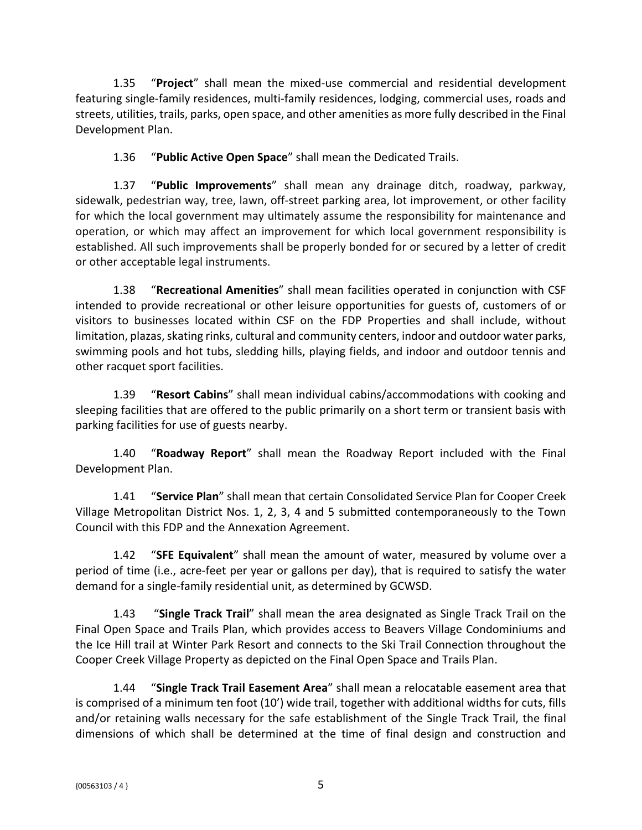1.35 "**Project**" shall mean the mixed-use commercial and residential development featuring single-family residences, multi-family residences, lodging, commercial uses, roads and streets, utilities, trails, parks, open space, and other amenities as more fully described in the Final Development Plan.

1.36 "**Public Active Open Space**" shall mean the Dedicated Trails.

1.37 "**Public Improvements**" shall mean any drainage ditch, roadway, parkway, sidewalk, pedestrian way, tree, lawn, off-street parking area, lot improvement, or other facility for which the local government may ultimately assume the responsibility for maintenance and operation, or which may affect an improvement for which local government responsibility is established. All such improvements shall be properly bonded for or secured by a letter of credit or other acceptable legal instruments.

1.38 "**Recreational Amenities**" shall mean facilities operated in conjunction with CSF intended to provide recreational or other leisure opportunities for guests of, customers of or visitors to businesses located within CSF on the FDP Properties and shall include, without limitation, plazas, skating rinks, cultural and community centers, indoor and outdoor water parks, swimming pools and hot tubs, sledding hills, playing fields, and indoor and outdoor tennis and other racquet sport facilities.

1.39 "**Resort Cabins**" shall mean individual cabins/accommodations with cooking and sleeping facilities that are offered to the public primarily on a short term or transient basis with parking facilities for use of guests nearby.

1.40 "**Roadway Report**" shall mean the Roadway Report included with the Final Development Plan.

1.41 "**Service Plan**" shall mean that certain Consolidated Service Plan for Cooper Creek Village Metropolitan District Nos. 1, 2, 3, 4 and 5 submitted contemporaneously to the Town Council with this FDP and the Annexation Agreement.

1.42 "**SFE Equivalent**" shall mean the amount of water, measured by volume over a period of time (i.e., acre-feet per year or gallons per day), that is required to satisfy the water demand for a single-family residential unit, as determined by GCWSD.

1.43 "**Single Track Trail**" shall mean the area designated as Single Track Trail on the Final Open Space and Trails Plan, which provides access to Beavers Village Condominiums and the Ice Hill trail at Winter Park Resort and connects to the Ski Trail Connection throughout the Cooper Creek Village Property as depicted on the Final Open Space and Trails Plan.

1.44 "**Single Track Trail Easement Area**" shall mean a relocatable easement area that is comprised of a minimum ten foot (10') wide trail, together with additional widths for cuts, fills and/or retaining walls necessary for the safe establishment of the Single Track Trail, the final dimensions of which shall be determined at the time of final design and construction and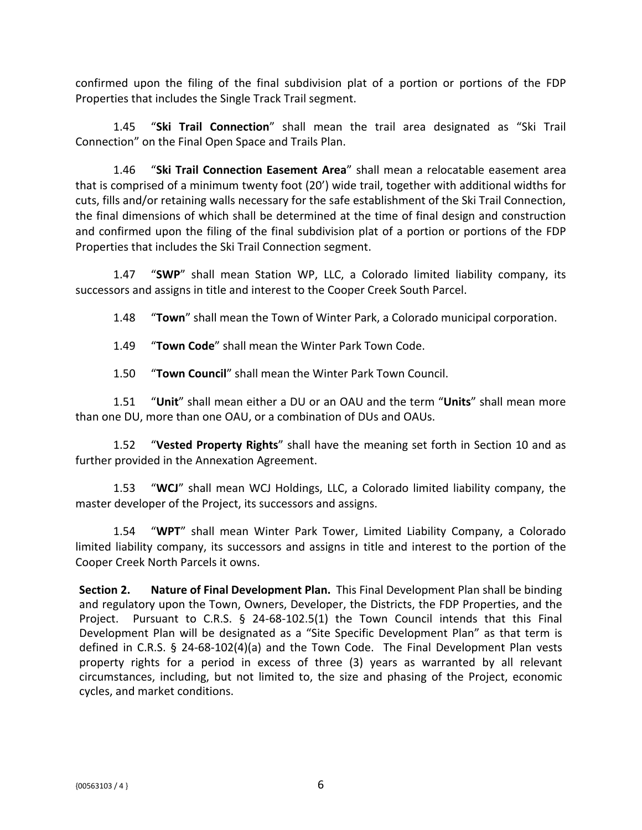confirmed upon the filing of the final subdivision plat of a portion or portions of the FDP Properties that includes the Single Track Trail segment.

1.45 "**Ski Trail Connection**" shall mean the trail area designated as "Ski Trail Connection" on the Final Open Space and Trails Plan.

1.46 "**Ski Trail Connection Easement Area**" shall mean a relocatable easement area that is comprised of a minimum twenty foot (20') wide trail, together with additional widths for cuts, fills and/or retaining walls necessary for the safe establishment of the Ski Trail Connection, the final dimensions of which shall be determined at the time of final design and construction and confirmed upon the filing of the final subdivision plat of a portion or portions of the FDP Properties that includes the Ski Trail Connection segment.

1.47 "**SWP**" shall mean Station WP, LLC, a Colorado limited liability company, its successors and assigns in title and interest to the Cooper Creek South Parcel.

1.48 "**Town**" shall mean the Town of Winter Park, a Colorado municipal corporation.

1.49 "**Town Code**" shall mean the Winter Park Town Code.

1.50 "**Town Council**" shall mean the Winter Park Town Council.

1.51 "**Unit**" shall mean either a DU or an OAU and the term "**Units**" shall mean more than one DU, more than one OAU, or a combination of DUs and OAUs.

1.52 "**Vested Property Rights**" shall have the meaning set forth in Section 10 and as further provided in the Annexation Agreement.

1.53 "**WCJ**" shall mean WCJ Holdings, LLC, a Colorado limited liability company, the master developer of the Project, its successors and assigns.

1.54 "**WPT**" shall mean Winter Park Tower, Limited Liability Company, a Colorado limited liability company, its successors and assigns in title and interest to the portion of the Cooper Creek North Parcels it owns.

**Section 2. Nature of Final Development Plan.** This Final Development Plan shall be binding and regulatory upon the Town, Owners, Developer, the Districts, the FDP Properties, and the Project. Pursuant to C.R.S. § 24-68-102.5(1) the Town Council intends that this Final Development Plan will be designated as a "Site Specific Development Plan" as that term is defined in C.R.S. § 24-68-102(4)(a) and the Town Code. The Final Development Plan vests property rights for a period in excess of three (3) years as warranted by all relevant circumstances, including, but not limited to, the size and phasing of the Project, economic cycles, and market conditions.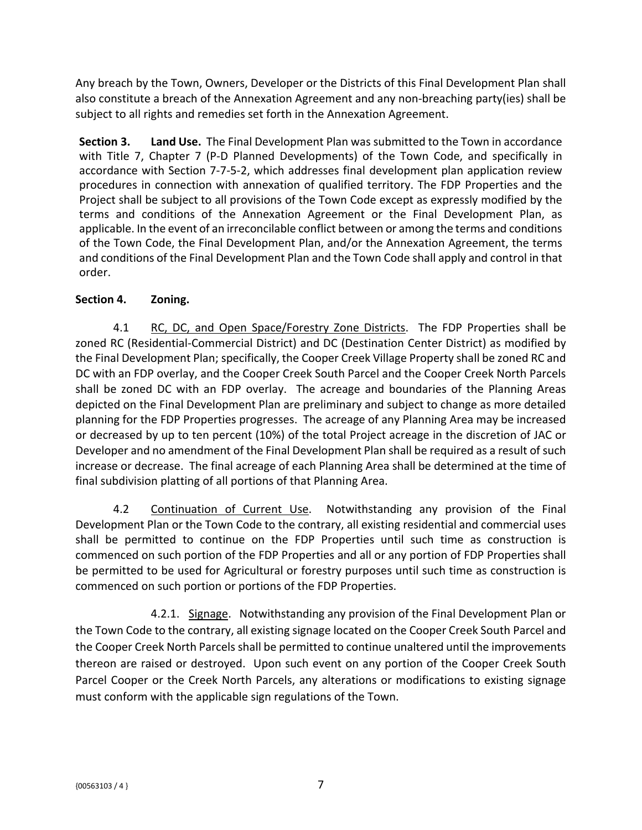Any breach by the Town, Owners, Developer or the Districts of this Final Development Plan shall also constitute a breach of the Annexation Agreement and any non-breaching party(ies) shall be subject to all rights and remedies set forth in the Annexation Agreement.

**Section 3. Land Use.** The Final Development Plan was submitted to the Town in accordance with Title 7, Chapter 7 (P-D Planned Developments) of the Town Code, and specifically in accordance with Section 7-7-5-2, which addresses final development plan application review procedures in connection with annexation of qualified territory. The FDP Properties and the Project shall be subject to all provisions of the Town Code except as expressly modified by the terms and conditions of the Annexation Agreement or the Final Development Plan, as applicable. In the event of an irreconcilable conflict between or among the terms and conditions of the Town Code, the Final Development Plan, and/or the Annexation Agreement, the terms and conditions of the Final Development Plan and the Town Code shall apply and control in that order.

# **Section 4. Zoning.**

4.1 RC, DC, and Open Space/Forestry Zone Districts. The FDP Properties shall be zoned RC (Residential-Commercial District) and DC (Destination Center District) as modified by the Final Development Plan; specifically, the Cooper Creek Village Property shall be zoned RC and DC with an FDP overlay, and the Cooper Creek South Parcel and the Cooper Creek North Parcels shall be zoned DC with an FDP overlay. The acreage and boundaries of the Planning Areas depicted on the Final Development Plan are preliminary and subject to change as more detailed planning for the FDP Properties progresses. The acreage of any Planning Area may be increased or decreased by up to ten percent (10%) of the total Project acreage in the discretion of JAC or Developer and no amendment of the Final Development Plan shall be required as a result of such increase or decrease. The final acreage of each Planning Area shall be determined at the time of final subdivision platting of all portions of that Planning Area.

4.2 Continuation of Current Use. Notwithstanding any provision of the Final Development Plan or the Town Code to the contrary, all existing residential and commercial uses shall be permitted to continue on the FDP Properties until such time as construction is commenced on such portion of the FDP Properties and all or any portion of FDP Properties shall be permitted to be used for Agricultural or forestry purposes until such time as construction is commenced on such portion or portions of the FDP Properties.

4.2.1. Signage. Notwithstanding any provision of the Final Development Plan or the Town Code to the contrary, all existing signage located on the Cooper Creek South Parcel and the Cooper Creek North Parcels shall be permitted to continue unaltered until the improvements thereon are raised or destroyed. Upon such event on any portion of the Cooper Creek South Parcel Cooper or the Creek North Parcels, any alterations or modifications to existing signage must conform with the applicable sign regulations of the Town.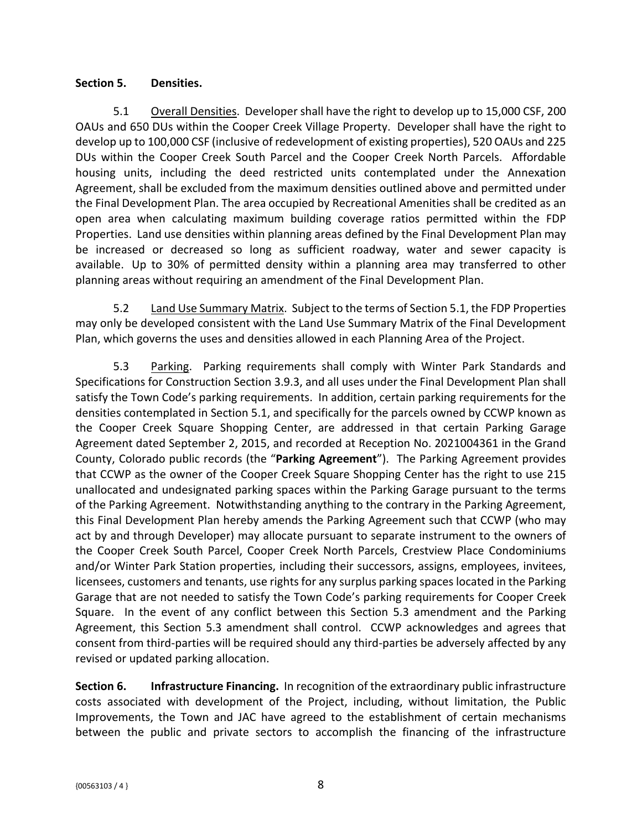### **Section 5. Densities.**

5.1 Overall Densities. Developer shall have the right to develop up to 15,000 CSF, 200 OAUs and 650 DUs within the Cooper Creek Village Property. Developer shall have the right to develop up to 100,000 CSF (inclusive of redevelopment of existing properties), 520 OAUs and 225 DUs within the Cooper Creek South Parcel and the Cooper Creek North Parcels. Affordable housing units, including the deed restricted units contemplated under the Annexation Agreement, shall be excluded from the maximum densities outlined above and permitted under the Final Development Plan. The area occupied by Recreational Amenities shall be credited as an open area when calculating maximum building coverage ratios permitted within the FDP Properties. Land use densities within planning areas defined by the Final Development Plan may be increased or decreased so long as sufficient roadway, water and sewer capacity is available. Up to 30% of permitted density within a planning area may transferred to other planning areas without requiring an amendment of the Final Development Plan.

5.2 Land Use Summary Matrix. Subject to the terms of Section 5.1, the FDP Properties may only be developed consistent with the Land Use Summary Matrix of the Final Development Plan, which governs the uses and densities allowed in each Planning Area of the Project.

5.3 Parking. Parking requirements shall comply with Winter Park Standards and Specifications for Construction Section 3.9.3, and all uses under the Final Development Plan shall satisfy the Town Code's parking requirements. In addition, certain parking requirements for the densities contemplated in Section 5.1, and specifically for the parcels owned by CCWP known as the Cooper Creek Square Shopping Center, are addressed in that certain Parking Garage Agreement dated September 2, 2015, and recorded at Reception No. 2021004361 in the Grand County, Colorado public records (the "**Parking Agreement**"). The Parking Agreement provides that CCWP as the owner of the Cooper Creek Square Shopping Center has the right to use 215 unallocated and undesignated parking spaces within the Parking Garage pursuant to the terms of the Parking Agreement. Notwithstanding anything to the contrary in the Parking Agreement, this Final Development Plan hereby amends the Parking Agreement such that CCWP (who may act by and through Developer) may allocate pursuant to separate instrument to the owners of the Cooper Creek South Parcel, Cooper Creek North Parcels, Crestview Place Condominiums and/or Winter Park Station properties, including their successors, assigns, employees, invitees, licensees, customers and tenants, use rights for any surplus parking spaces located in the Parking Garage that are not needed to satisfy the Town Code's parking requirements for Cooper Creek Square. In the event of any conflict between this Section 5.3 amendment and the Parking Agreement, this Section 5.3 amendment shall control. CCWP acknowledges and agrees that consent from third-parties will be required should any third-parties be adversely affected by any revised or updated parking allocation.

**Section 6. Infrastructure Financing.** In recognition of the extraordinary public infrastructure costs associated with development of the Project, including, without limitation, the Public Improvements, the Town and JAC have agreed to the establishment of certain mechanisms between the public and private sectors to accomplish the financing of the infrastructure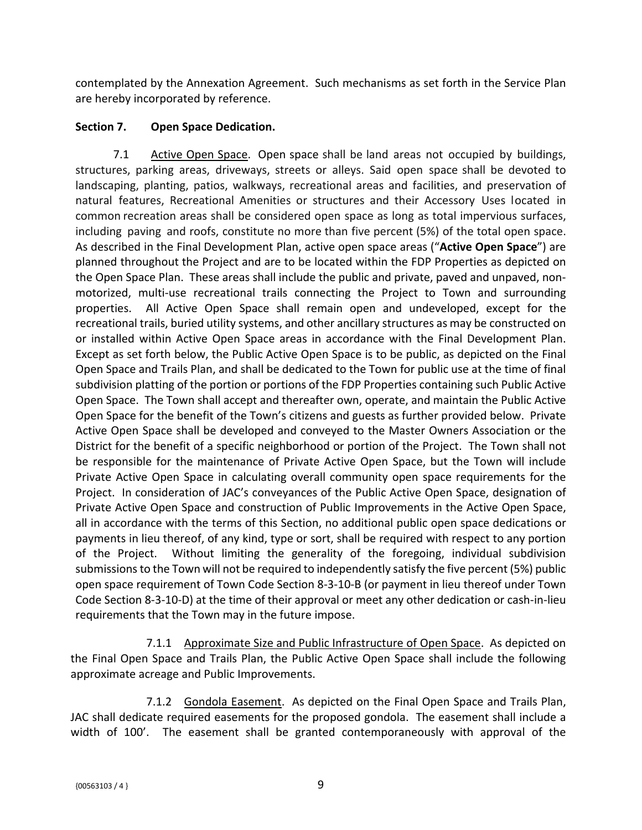contemplated by the Annexation Agreement. Such mechanisms as set forth in the Service Plan are hereby incorporated by reference.

# **Section 7. Open Space Dedication.**

7.1 Active Open Space. Open space shall be land areas not occupied by buildings. structures, parking areas, driveways, streets or alleys. Said open space shall be devoted to landscaping, planting, patios, walkways, recreational areas and facilities, and preservation of natural features, Recreational Amenities or structures and their Accessory Uses located in common recreation areas shall be considered open space as long as total impervious surfaces, including paving and roofs, constitute no more than five percent (5%) of the total open space. As described in the Final Development Plan, active open space areas ("**Active Open Space**") are planned throughout the Project and are to be located within the FDP Properties as depicted on the Open Space Plan. These areas shall include the public and private, paved and unpaved, nonmotorized, multi-use recreational trails connecting the Project to Town and surrounding properties. All Active Open Space shall remain open and undeveloped, except for the recreational trails, buried utility systems, and other ancillary structures as may be constructed on or installed within Active Open Space areas in accordance with the Final Development Plan. Except as set forth below, the Public Active Open Space is to be public, as depicted on the Final Open Space and Trails Plan, and shall be dedicated to the Town for public use at the time of final subdivision platting of the portion or portions of the FDP Properties containing such Public Active Open Space. The Town shall accept and thereafter own, operate, and maintain the Public Active Open Space for the benefit of the Town's citizens and guests as further provided below. Private Active Open Space shall be developed and conveyed to the Master Owners Association or the District for the benefit of a specific neighborhood or portion of the Project.The Town shall not be responsible for the maintenance of Private Active Open Space, but the Town will include Private Active Open Space in calculating overall community open space requirements for the Project. In consideration of JAC's conveyances of the Public Active Open Space, designation of Private Active Open Space and construction of Public Improvements in the Active Open Space, all in accordance with the terms of this Section, no additional public open space dedications or payments in lieu thereof, of any kind, type or sort, shall be required with respect to any portion of the Project. Without limiting the generality of the foregoing, individual subdivision submissions to the Town will not be required to independently satisfy the five percent (5%) public open space requirement of Town Code Section 8-3-10-B (or payment in lieu thereof under Town Code Section 8-3-10-D) at the time of their approval or meet any other dedication or cash-in-lieu requirements that the Town may in the future impose.

7.1.1 Approximate Size and Public Infrastructure of Open Space. As depicted on the Final Open Space and Trails Plan, the Public Active Open Space shall include the following approximate acreage and Public Improvements.

7.1.2 Gondola Easement. As depicted on the Final Open Space and Trails Plan, JAC shall dedicate required easements for the proposed gondola. The easement shall include a width of 100'. The easement shall be granted contemporaneously with approval of the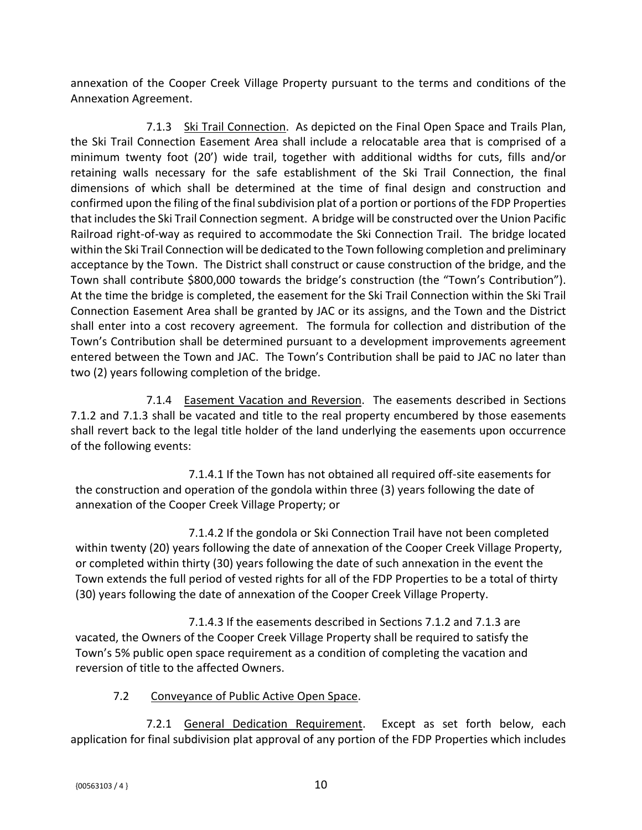annexation of the Cooper Creek Village Property pursuant to the terms and conditions of the Annexation Agreement.

7.1.3 Ski Trail Connection. As depicted on the Final Open Space and Trails Plan, the Ski Trail Connection Easement Area shall include a relocatable area that is comprised of a minimum twenty foot (20') wide trail, together with additional widths for cuts, fills and/or retaining walls necessary for the safe establishment of the Ski Trail Connection, the final dimensions of which shall be determined at the time of final design and construction and confirmed upon the filing of the final subdivision plat of a portion or portions of the FDP Properties that includes the Ski Trail Connection segment. A bridge will be constructed over the Union Pacific Railroad right-of-way as required to accommodate the Ski Connection Trail. The bridge located within the Ski Trail Connection will be dedicated to the Town following completion and preliminary acceptance by the Town. The District shall construct or cause construction of the bridge, and the Town shall contribute \$800,000 towards the bridge's construction (the "Town's Contribution"). At the time the bridge is completed, the easement for the Ski Trail Connection within the Ski Trail Connection Easement Area shall be granted by JAC or its assigns, and the Town and the District shall enter into a cost recovery agreement. The formula for collection and distribution of the Town's Contribution shall be determined pursuant to a development improvements agreement entered between the Town and JAC. The Town's Contribution shall be paid to JAC no later than two (2) years following completion of the bridge.

7.1.4 Easement Vacation and Reversion. The easements described in Sections 7.1.2 and 7.1.3 shall be vacated and title to the real property encumbered by those easements shall revert back to the legal title holder of the land underlying the easements upon occurrence of the following events:

7.1.4.1 If the Town has not obtained all required off-site easements for the construction and operation of the gondola within three (3) years following the date of annexation of the Cooper Creek Village Property; or

7.1.4.2 If the gondola or Ski Connection Trail have not been completed within twenty (20) years following the date of annexation of the Cooper Creek Village Property, or completed within thirty (30) years following the date of such annexation in the event the Town extends the full period of vested rights for all of the FDP Properties to be a total of thirty (30) years following the date of annexation of the Cooper Creek Village Property.

7.1.4.3 If the easements described in Sections 7.1.2 and 7.1.3 are vacated, the Owners of the Cooper Creek Village Property shall be required to satisfy the Town's 5% public open space requirement as a condition of completing the vacation and reversion of title to the affected Owners.

### 7.2 Conveyance of Public Active Open Space.

7.2.1 General Dedication Requirement. Except as set forth below, each application for final subdivision plat approval of any portion of the FDP Properties which includes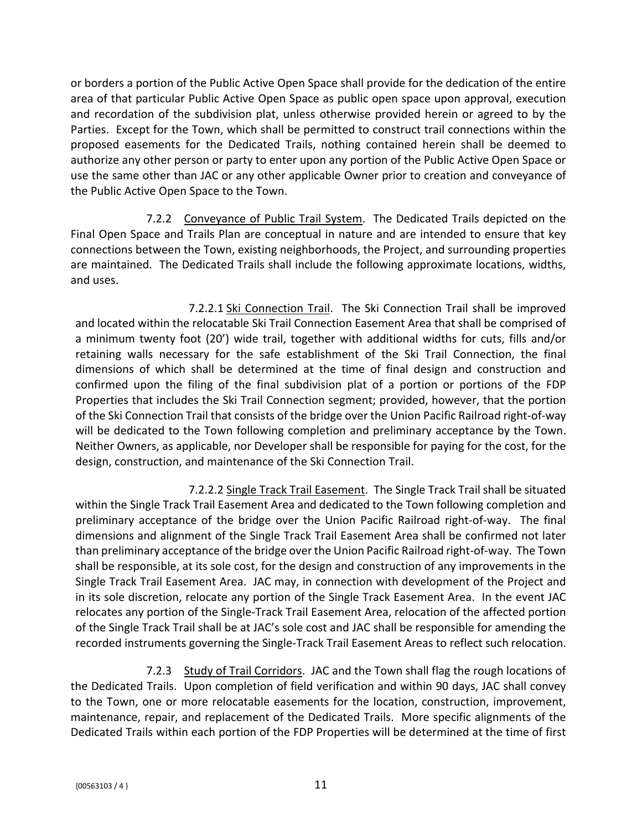or borders a portion of the Public Active Open Space shall provide for the dedication of the entire area of that particular Public Active Open Space as public open space upon approval, execution and recordation of the subdivision plat, unless otherwise provided herein or agreed to by the Parties. Except for the Town, which shall be permitted to construct trail connections within the proposed easements for the Dedicated Trails, nothing contained herein shall be deemed to authorize any other person or party to enter upon any portion of the Public Active Open Space or use the same other than JAC or any other applicable Owner prior to creation and conveyance of the Public Active Open Space to the Town.

7.2.2 Conveyance of Public Trail System. The Dedicated Trails depicted on the Final Open Space and Trails Plan are conceptual in nature and are intended to ensure that key connections between the Town, existing neighborhoods, the Project, and surrounding properties are maintained. The Dedicated Trails shall include the following approximate locations, widths, and uses.

7.2.2.1 Ski Connection Trail. The Ski Connection Trail shall be improved and located within the relocatable Ski Trail Connection Easement Area that shall be comprised of a minimum twenty foot (20') wide trail, together with additional widths for cuts, fills and/or retaining walls necessary for the safe establishment of the Ski Trail Connection, the final dimensions of which shall be determined at the time of final design and construction and confirmed upon the filing of the final subdivision plat of a portion or portions of the FDP Properties that includes the Ski Trail Connection segment; provided, however, that the portion of the Ski Connection Trail that consists of the bridge over the Union Pacific Railroad right-of-way will be dedicated to the Town following completion and preliminary acceptance by the Town. Neither Owners, as applicable, nor Developer shall be responsible for paying for the cost, for the design, construction, and maintenance of the Ski Connection Trail.

7.2.2.2 Single Track Trail Easement. The Single Track Trail shall be situated within the Single Track Trail Easement Area and dedicated to the Town following completion and preliminary acceptance of the bridge over the Union Pacific Railroad right-of-way. The final dimensions and alignment of the Single Track Trail Easement Area shall be confirmed not later than preliminary acceptance of the bridge over the Union Pacific Railroad right-of-way. The Town shall be responsible, at its sole cost, for the design and construction of any improvements in the Single Track Trail Easement Area. JAC may, in connection with development of the Project and in its sole discretion, relocate any portion of the Single Track Easement Area. In the event JAC relocates any portion of the Single-Track Trail Easement Area, relocation of the affected portion of the Single Track Trail shall be at JAC's sole cost and JAC shall be responsible for amending the recorded instruments governing the Single-Track Trail Easement Areas to reflect such relocation.

7.2.3 Study of Trail Corridors. JAC and the Town shall flag the rough locations of the Dedicated Trails. Upon completion of field verification and within 90 days, JAC shall convey to the Town, one or more relocatable easements for the location, construction, improvement, maintenance, repair, and replacement of the Dedicated Trails. More specific alignments of the Dedicated Trails within each portion of the FDP Properties will be determined at the time of first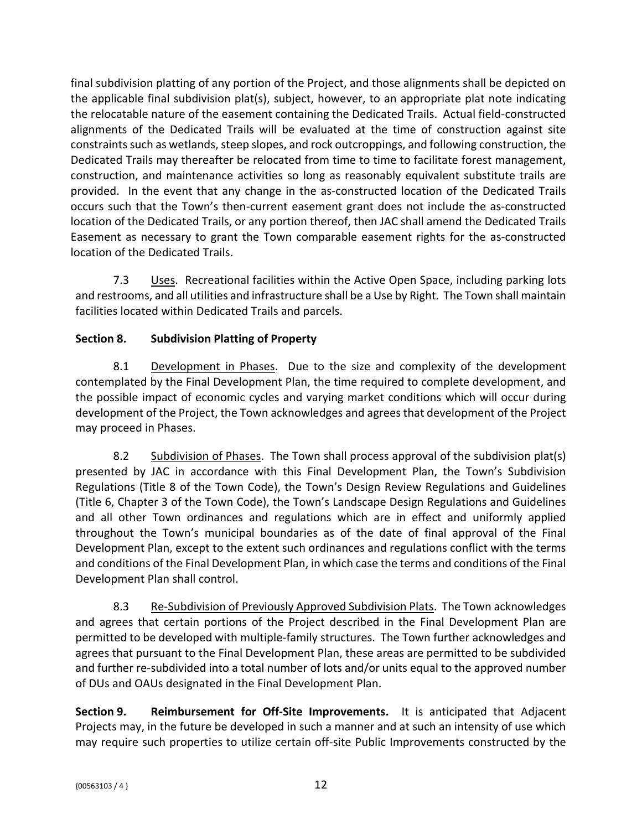final subdivision platting of any portion of the Project, and those alignments shall be depicted on the applicable final subdivision plat(s), subject, however, to an appropriate plat note indicating the relocatable nature of the easement containing the Dedicated Trails. Actual field-constructed alignments of the Dedicated Trails will be evaluated at the time of construction against site constraints such as wetlands, steep slopes, and rock outcroppings, and following construction, the Dedicated Trails may thereafter be relocated from time to time to facilitate forest management, construction, and maintenance activities so long as reasonably equivalent substitute trails are provided. In the event that any change in the as-constructed location of the Dedicated Trails occurs such that the Town's then-current easement grant does not include the as-constructed location of the Dedicated Trails, or any portion thereof, then JAC shall amend the Dedicated Trails Easement as necessary to grant the Town comparable easement rights for the as-constructed location of the Dedicated Trails.

7.3 **Uses.** Recreational facilities within the Active Open Space, including parking lots and restrooms, and all utilities and infrastructure shall be a Use by Right. The Town shall maintain facilities located within Dedicated Trails and parcels.

# **Section 8. Subdivision Platting of Property**

8.1 Development in Phases. Due to the size and complexity of the development contemplated by the Final Development Plan, the time required to complete development, and the possible impact of economic cycles and varying market conditions which will occur during development of the Project, the Town acknowledges and agrees that development of the Project may proceed in Phases.

8.2 Subdivision of Phases. The Town shall process approval of the subdivision plat(s) presented by JAC in accordance with this Final Development Plan, the Town's Subdivision Regulations (Title 8 of the Town Code), the Town's Design Review Regulations and Guidelines (Title 6, Chapter 3 of the Town Code), the Town's Landscape Design Regulations and Guidelines and all other Town ordinances and regulations which are in effect and uniformly applied throughout the Town's municipal boundaries as of the date of final approval of the Final Development Plan, except to the extent such ordinances and regulations conflict with the terms and conditions of the Final Development Plan, in which case the terms and conditions of the Final Development Plan shall control.

8.3 Re-Subdivision of Previously Approved Subdivision Plats. The Town acknowledges and agrees that certain portions of the Project described in the Final Development Plan are permitted to be developed with multiple-family structures. The Town further acknowledges and agrees that pursuant to the Final Development Plan, these areas are permitted to be subdivided and further re-subdivided into a total number of lots and/or units equal to the approved number of DUs and OAUs designated in the Final Development Plan.

**Section 9. Reimbursement for Off-Site Improvements.** It is anticipated that Adjacent Projects may, in the future be developed in such a manner and at such an intensity of use which may require such properties to utilize certain off-site Public Improvements constructed by the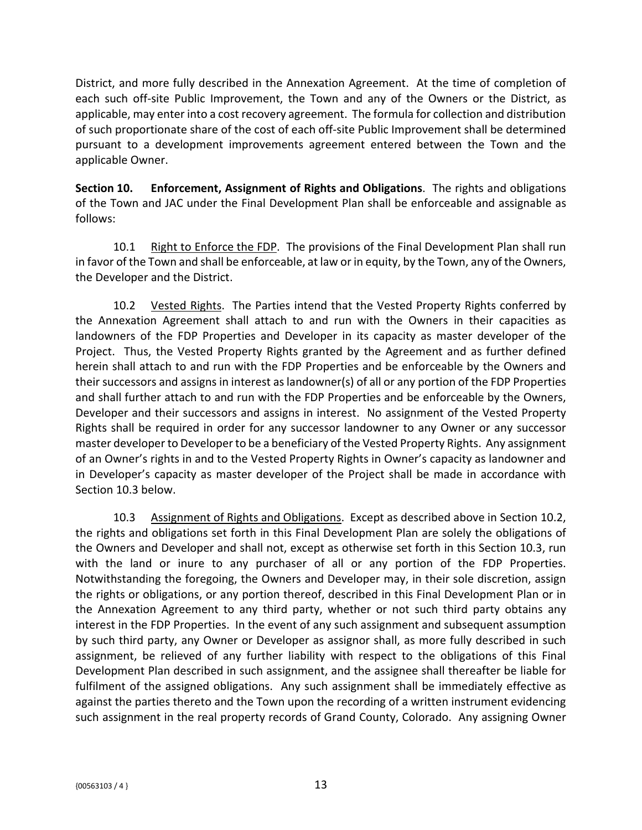District, and more fully described in the Annexation Agreement. At the time of completion of each such off-site Public Improvement, the Town and any of the Owners or the District, as applicable, may enter into a cost recovery agreement. The formula for collection and distribution of such proportionate share of the cost of each off-site Public Improvement shall be determined pursuant to a development improvements agreement entered between the Town and the applicable Owner.

**Section 10. Enforcement, Assignment of Rights and Obligations**. The rights and obligations of the Town and JAC under the Final Development Plan shall be enforceable and assignable as follows:

10.1 Right to Enforce the FDP. The provisions of the Final Development Plan shall run in favor of the Town and shall be enforceable, at law or in equity, by the Town, any of the Owners, the Developer and the District.

10.2 Vested Rights. The Parties intend that the Vested Property Rights conferred by the Annexation Agreement shall attach to and run with the Owners in their capacities as landowners of the FDP Properties and Developer in its capacity as master developer of the Project. Thus, the Vested Property Rights granted by the Agreement and as further defined herein shall attach to and run with the FDP Properties and be enforceable by the Owners and their successors and assigns in interest as landowner(s) of all or any portion of the FDP Properties and shall further attach to and run with the FDP Properties and be enforceable by the Owners, Developer and their successors and assigns in interest. No assignment of the Vested Property Rights shall be required in order for any successor landowner to any Owner or any successor master developer to Developerto be a beneficiary of the Vested Property Rights. Any assignment of an Owner's rights in and to the Vested Property Rights in Owner's capacity as landowner and in Developer's capacity as master developer of the Project shall be made in accordance with Section 10.3 below.

10.3 Assignment of Rights and Obligations. Except as described above in Section 10.2, the rights and obligations set forth in this Final Development Plan are solely the obligations of the Owners and Developer and shall not, except as otherwise set forth in this Section 10.3, run with the land or inure to any purchaser of all or any portion of the FDP Properties. Notwithstanding the foregoing, the Owners and Developer may, in their sole discretion, assign the rights or obligations, or any portion thereof, described in this Final Development Plan or in the Annexation Agreement to any third party, whether or not such third party obtains any interest in the FDP Properties. In the event of any such assignment and subsequent assumption by such third party, any Owner or Developer as assignor shall, as more fully described in such assignment, be relieved of any further liability with respect to the obligations of this Final Development Plan described in such assignment, and the assignee shall thereafter be liable for fulfilment of the assigned obligations. Any such assignment shall be immediately effective as against the parties thereto and the Town upon the recording of a written instrument evidencing such assignment in the real property records of Grand County, Colorado. Any assigning Owner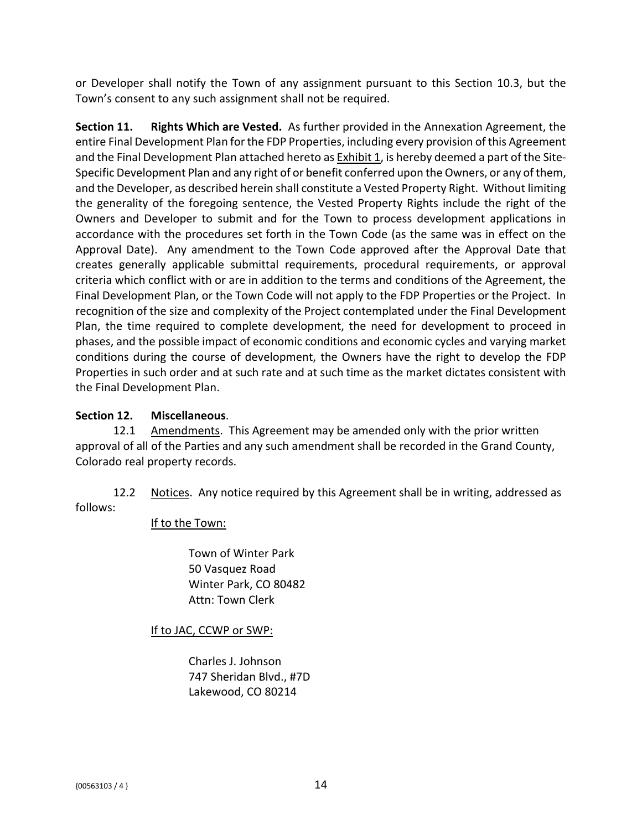or Developer shall notify the Town of any assignment pursuant to this Section 10.3, but the Town's consent to any such assignment shall not be required.

**Section 11. Rights Which are Vested.** As further provided in the Annexation Agreement, the entire Final Development Plan for the FDP Properties, including every provision of this Agreement and the Final Development Plan attached hereto as Exhibit 1, is hereby deemed a part of the Site-Specific Development Plan and any right of or benefit conferred upon the Owners, or any of them, and the Developer, as described herein shall constitute a Vested Property Right. Without limiting the generality of the foregoing sentence, the Vested Property Rights include the right of the Owners and Developer to submit and for the Town to process development applications in accordance with the procedures set forth in the Town Code (as the same was in effect on the Approval Date). Any amendment to the Town Code approved after the Approval Date that creates generally applicable submittal requirements, procedural requirements, or approval criteria which conflict with or are in addition to the terms and conditions of the Agreement, the Final Development Plan, or the Town Code will not apply to the FDP Properties or the Project. In recognition of the size and complexity of the Project contemplated under the Final Development Plan, the time required to complete development, the need for development to proceed in phases, and the possible impact of economic conditions and economic cycles and varying market conditions during the course of development, the Owners have the right to develop the FDP Properties in such order and at such rate and at such time as the market dictates consistent with the Final Development Plan.

### **Section 12. Miscellaneous**.

12.1 Amendments. This Agreement may be amended only with the prior written approval of all of the Parties and any such amendment shall be recorded in the Grand County, Colorado real property records.

12.2 Notices. Any notice required by this Agreement shall be in writing, addressed as follows:

### If to the Town:

Town of Winter Park 50 Vasquez Road Winter Park, CO 80482 Attn: Town Clerk

# If to JAC, CCWP or SWP:

Charles J. Johnson 747 Sheridan Blvd., #7D Lakewood, CO 80214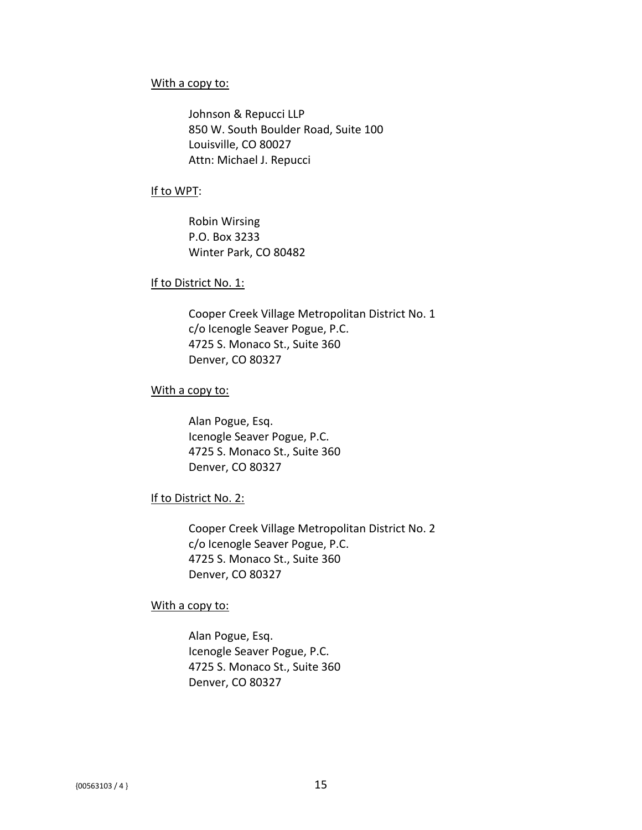#### With a copy to:

Johnson & Repucci LLP 850 W. South Boulder Road, Suite 100 Louisville, CO 80027 Attn: Michael J. Repucci

#### If to WPT:

Robin Wirsing P.O. Box 3233 Winter Park, CO 80482

#### If to District No. 1:

Cooper Creek Village Metropolitan District No. 1 c/o Icenogle Seaver Pogue, P.C. 4725 S. Monaco St., Suite 360 Denver, CO 80327

#### With a copy to:

Alan Pogue, Esq. Icenogle Seaver Pogue, P.C. 4725 S. Monaco St., Suite 360 Denver, CO 80327

#### If to District No. 2:

Cooper Creek Village Metropolitan District No. 2 c/o Icenogle Seaver Pogue, P.C. 4725 S. Monaco St., Suite 360 Denver, CO 80327

#### With a copy to:

Alan Pogue, Esq. Icenogle Seaver Pogue, P.C. 4725 S. Monaco St., Suite 360 Denver, CO 80327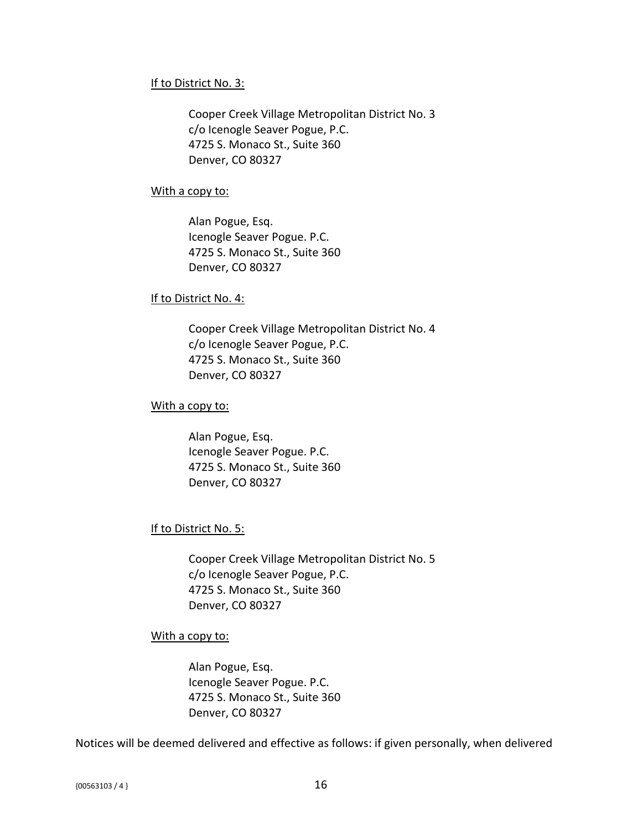### If to District No. 3:

Cooper Creek Village Metropolitan District No. 3 c/o Icenogle Seaver Pogue, P.C. 4725 S. Monaco St., Suite 360 Denver, CO 80327

#### With a copy to:

Alan Pogue, Esq. Icenogle Seaver Pogue. P.C. 4725 S. Monaco St., Suite 360 Denver, CO 80327

### If to District No. 4:

Cooper Creek Village Metropolitan District No. 4 c/o Icenogle Seaver Pogue, P.C. 4725 S. Monaco St., Suite 360 Denver, CO 80327

### With a copy to:

Alan Pogue, Esq. Icenogle Seaver Pogue. P.C. 4725 S. Monaco St., Suite 360 Denver, CO 80327

### If to District No. 5:

Cooper Creek Village Metropolitan District No. 5 c/o Icenogle Seaver Pogue, P.C. 4725 S. Monaco St., Suite 360 Denver, CO 80327

#### With a copy to:

Alan Pogue, Esq. Icenogle Seaver Pogue. P.C. 4725 S. Monaco St., Suite 360 Denver, CO 80327

Notices will be deemed delivered and effective as follows: if given personally, when delivered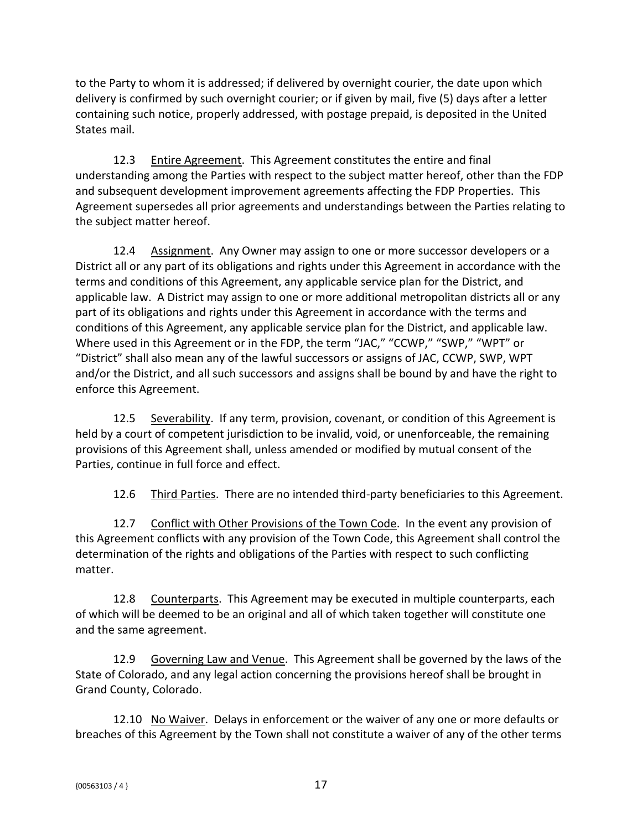to the Party to whom it is addressed; if delivered by overnight courier, the date upon which delivery is confirmed by such overnight courier; or if given by mail, five (5) days after a letter containing such notice, properly addressed, with postage prepaid, is deposited in the United States mail.

12.3 Entire Agreement. This Agreement constitutes the entire and final understanding among the Parties with respect to the subject matter hereof, other than the FDP and subsequent development improvement agreements affecting the FDP Properties. This Agreement supersedes all prior agreements and understandings between the Parties relating to the subject matter hereof.

12.4 Assignment. Any Owner may assign to one or more successor developers or a District all or any part of its obligations and rights under this Agreement in accordance with the terms and conditions of this Agreement, any applicable service plan for the District, and applicable law. A District may assign to one or more additional metropolitan districts all or any part of its obligations and rights under this Agreement in accordance with the terms and conditions of this Agreement, any applicable service plan for the District, and applicable law. Where used in this Agreement or in the FDP, the term "JAC," "CCWP," "SWP," "WPT" or "District" shall also mean any of the lawful successors or assigns of JAC, CCWP, SWP, WPT and/or the District, and all such successors and assigns shall be bound by and have the right to enforce this Agreement.

12.5 Severability. If any term, provision, covenant, or condition of this Agreement is held by a court of competent jurisdiction to be invalid, void, or unenforceable, the remaining provisions of this Agreement shall, unless amended or modified by mutual consent of the Parties, continue in full force and effect.

12.6 Third Parties. There are no intended third-party beneficiaries to this Agreement.

12.7 Conflict with Other Provisions of the Town Code. In the event any provision of this Agreement conflicts with any provision of the Town Code, this Agreement shall control the determination of the rights and obligations of the Parties with respect to such conflicting matter.

12.8 Counterparts. This Agreement may be executed in multiple counterparts, each of which will be deemed to be an original and all of which taken together will constitute one and the same agreement.

12.9 Governing Law and Venue. This Agreement shall be governed by the laws of the State of Colorado, and any legal action concerning the provisions hereof shall be brought in Grand County, Colorado.

12.10 No Waiver. Delays in enforcement or the waiver of any one or more defaults or breaches of this Agreement by the Town shall not constitute a waiver of any of the other terms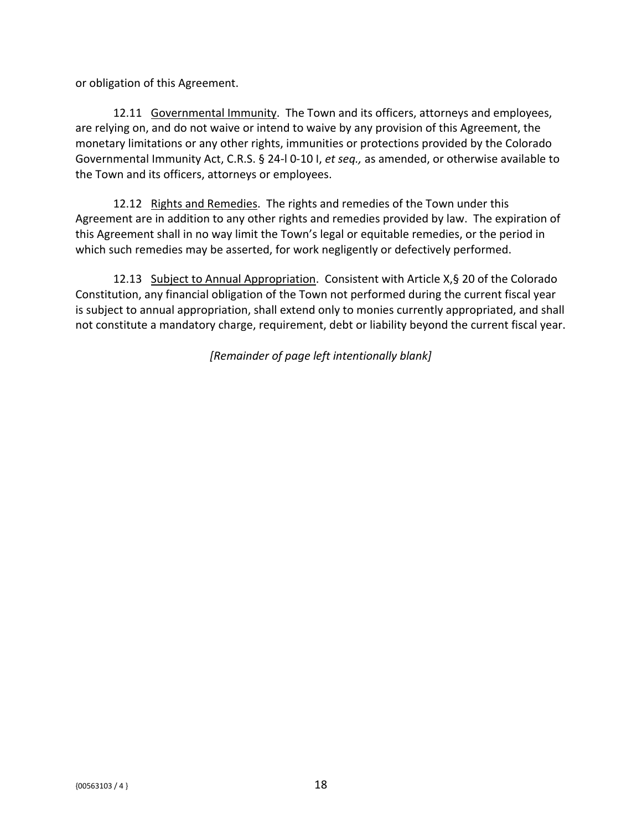or obligation of this Agreement.

12.11 Governmental Immunity. The Town and its officers, attorneys and employees, are relying on, and do not waive or intend to waive by any provision of this Agreement, the monetary limitations or any other rights, immunities or protections provided by the Colorado Governmental Immunity Act, C.R.S. § 24-l 0-10 I, *et seq.,* as amended, or otherwise available to the Town and its officers, attorneys or employees.

12.12 Rights and Remedies. The rights and remedies of the Town under this Agreement are in addition to any other rights and remedies provided by law. The expiration of this Agreement shall in no way limit the Town's legal or equitable remedies, or the period in which such remedies may be asserted, for work negligently or defectively performed.

12.13 Subject to Annual Appropriation. Consistent with Article X,§ 20 of the Colorado Constitution, any financial obligation of the Town not performed during the current fiscal year is subject to annual appropriation, shall extend only to monies currently appropriated, and shall not constitute a mandatory charge, requirement, debt or liability beyond the current fiscal year.

*[Remainder of page left intentionally blank]*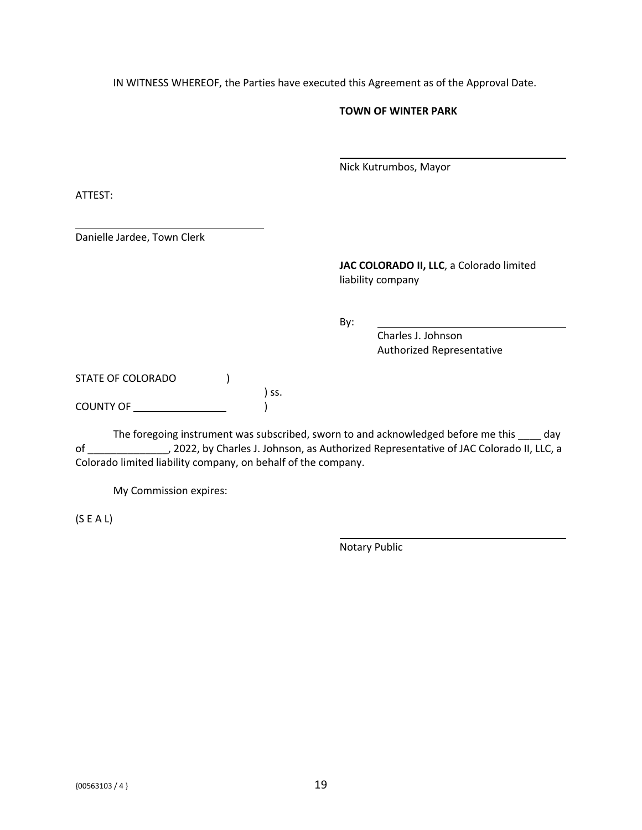IN WITNESS WHEREOF, the Parties have executed this Agreement as of the Approval Date.

#### **TOWN OF WINTER PARK**

Nick Kutrumbos, Mayor

ATTEST:

Danielle Jardee, Town Clerk

**JAC COLORADO II, LLC**, a Colorado limited liability company

By:

Charles J. Johnson Authorized Representative

STATE OF COLORADO ( ) ss. COUNTY OF )

The foregoing instrument was subscribed, sworn to and acknowledged before me this day of \_\_\_\_\_\_\_\_\_\_\_\_\_\_, 2022, by Charles J. Johnson, as Authorized Representative of JAC Colorado II, LLC, a Colorado limited liability company, on behalf of the company.

My Commission expires:

(S E A L)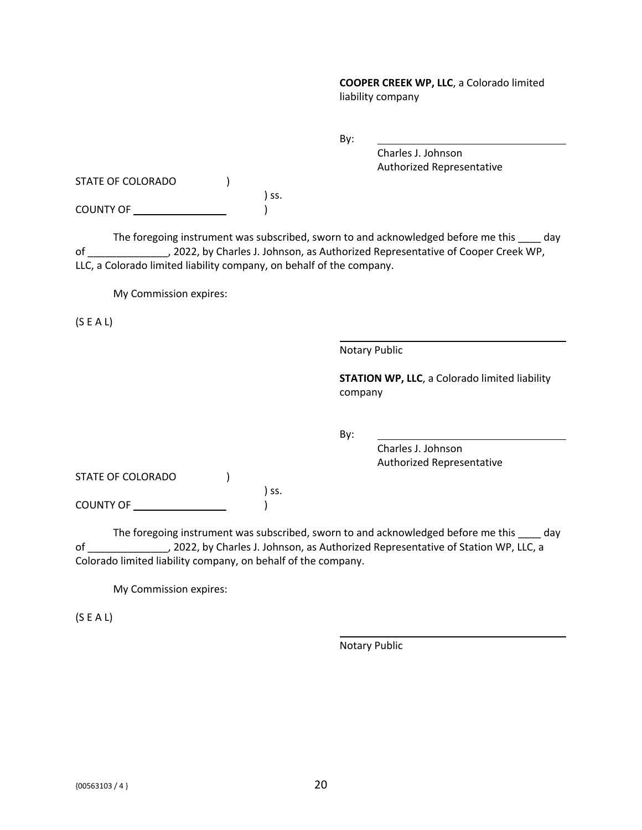**COOPER CREEK WP, LLC**, a Colorado limited liability company

By:

Charles J. Johnson Authorized Representative

STATE OF COLORADO (1)

) ss. COUNTY OF )

The foregoing instrument was subscribed, sworn to and acknowledged before me this \_\_\_\_ day of \_\_\_\_\_\_\_\_\_\_\_\_\_\_, 2022, by Charles J. Johnson, as Authorized Representative of Cooper Creek WP, LLC, a Colorado limited liability company, on behalf of the company.

My Commission expires:

(S E A L)

Notary Public

**STATION WP, LLC**, a Colorado limited liability company

By:

Charles J. Johnson Authorized Representative

STATE OF COLORADO (1)

COUNTY OF )

The foregoing instrument was subscribed, sworn to and acknowledged before me this \_\_\_\_ day of \_\_\_\_\_\_\_\_\_\_\_\_\_\_, 2022, by Charles J. Johnson, as Authorized Representative of Station WP, LLC, a Colorado limited liability company, on behalf of the company.

) ss.

My Commission expires:

(S E A L)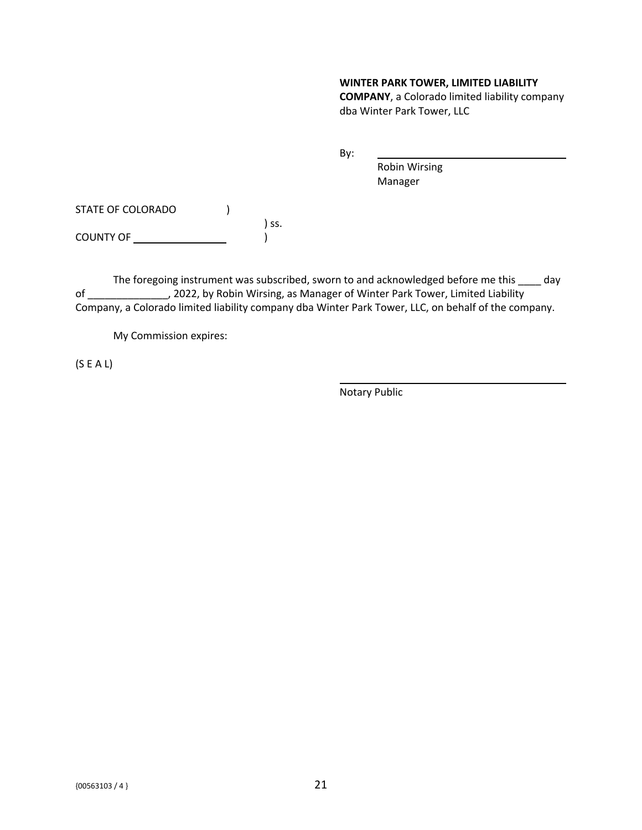#### **WINTER PARK TOWER, LIMITED LIABILITY**

**COMPANY**, a Colorado limited liability company dba Winter Park Tower, LLC

By:

Robin Wirsing Manager

STATE OF COLORADO (1) ) ss.

COUNTY OF )

The foregoing instrument was subscribed, sworn to and acknowledged before me this \_\_\_\_ day of \_\_\_\_\_\_\_\_\_\_\_\_\_\_, 2022, by Robin Wirsing, as Manager of Winter Park Tower, Limited Liability Company, a Colorado limited liability company dba Winter Park Tower, LLC, on behalf of the company.

My Commission expires:

(S E A L)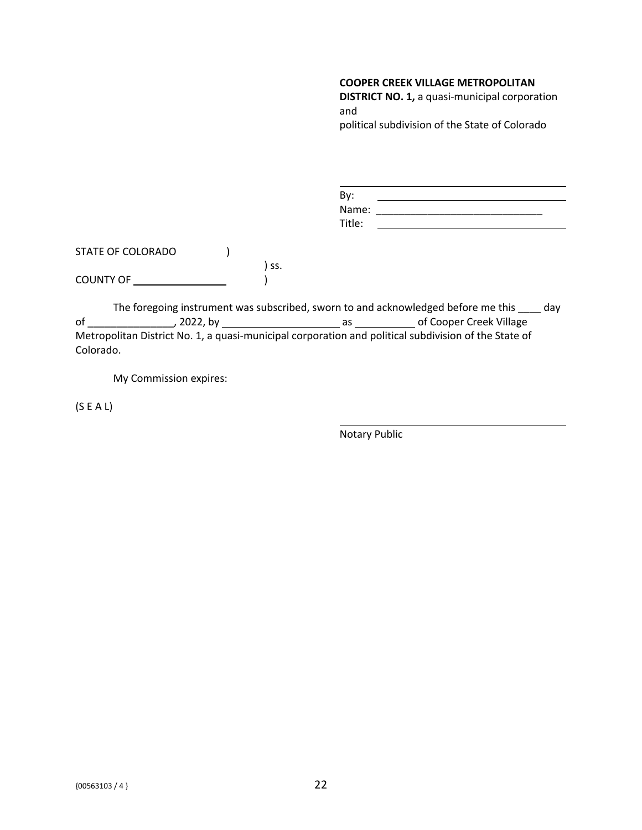**DISTRICT NO. 1,** a quasi-municipal corporation and political subdivision of the State of Colorado

| By:    |  |
|--------|--|
| Name:  |  |
| Title: |  |

STATE OF COLORADO (1) ) ss. COUNTY OF )

The foregoing instrument was subscribed, sworn to and acknowledged before me this \_\_\_\_ day of \_\_\_\_\_\_\_\_\_\_\_\_\_\_\_, 2022, by as of Cooper Creek Village Metropolitan District No. 1, a quasi-municipal corporation and political subdivision of the State of Colorado.

My Commission expires:

(S E A L)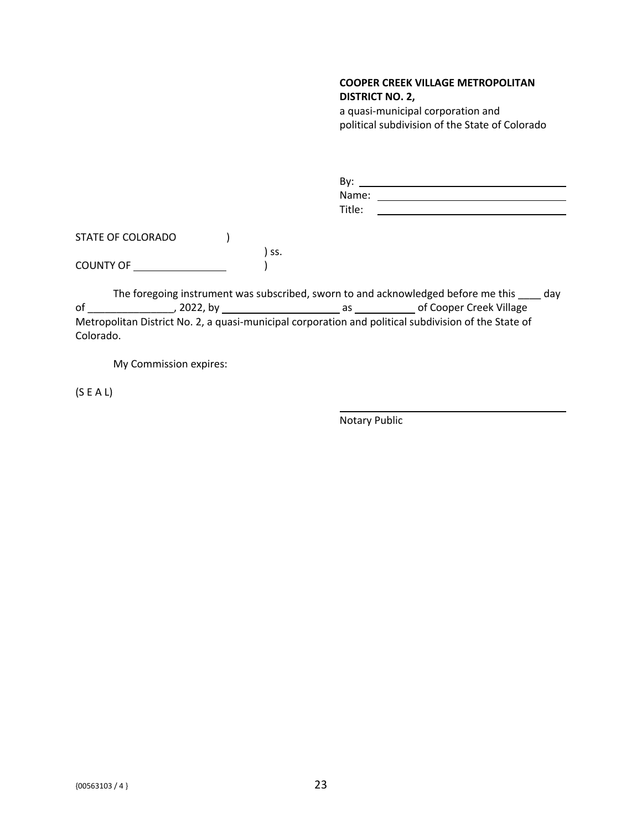#### **COOPER CREEK VILLAGE METROPOLITAN DISTRICT NO. 2,**

a quasi-municipal corporation and political subdivision of the State of Colorado

| By:    |  |
|--------|--|
| Name:  |  |
| Title: |  |

STATE OF COLORADO (1) ) ss. COUNTY OF )

The foregoing instrument was subscribed, sworn to and acknowledged before me this \_\_\_\_ day of \_\_\_\_\_\_\_\_\_\_\_\_\_\_\_, 2022, by as of Cooper Creek Village Metropolitan District No. 2, a quasi-municipal corporation and political subdivision of the State of Colorado.

My Commission expires:

(S E A L)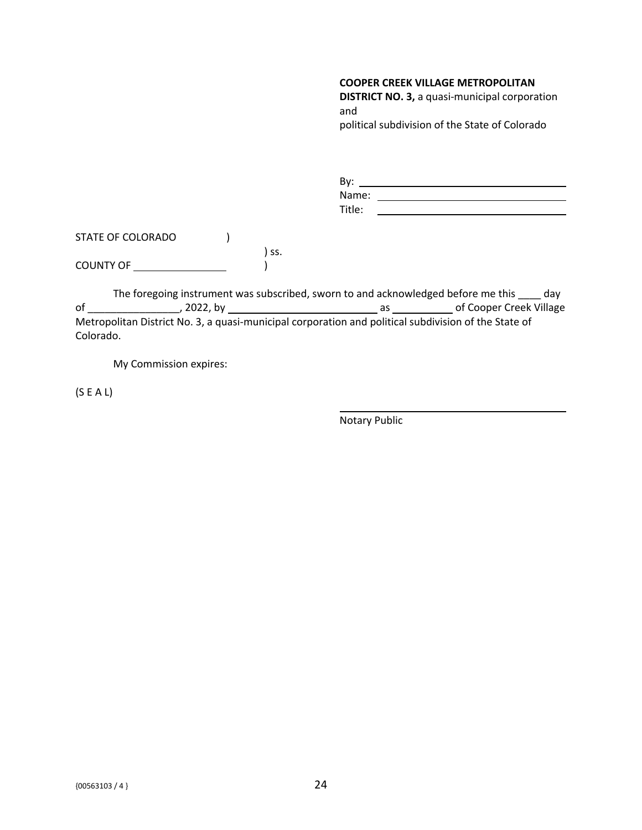**DISTRICT NO. 3,** a quasi-municipal corporation and political subdivision of the State of Colorado

| By:    |  |
|--------|--|
| Name:  |  |
| Title: |  |

STATE OF COLORADO (1) ) ss. COUNTY OF )

The foregoing instrument was subscribed, sworn to and acknowledged before me this \_\_\_\_ day of \_\_\_\_\_\_\_\_\_\_\_\_\_\_\_\_, 2022, by as of Cooper Creek Village Metropolitan District No. 3, a quasi-municipal corporation and political subdivision of the State of Colorado.

My Commission expires:

(S E A L)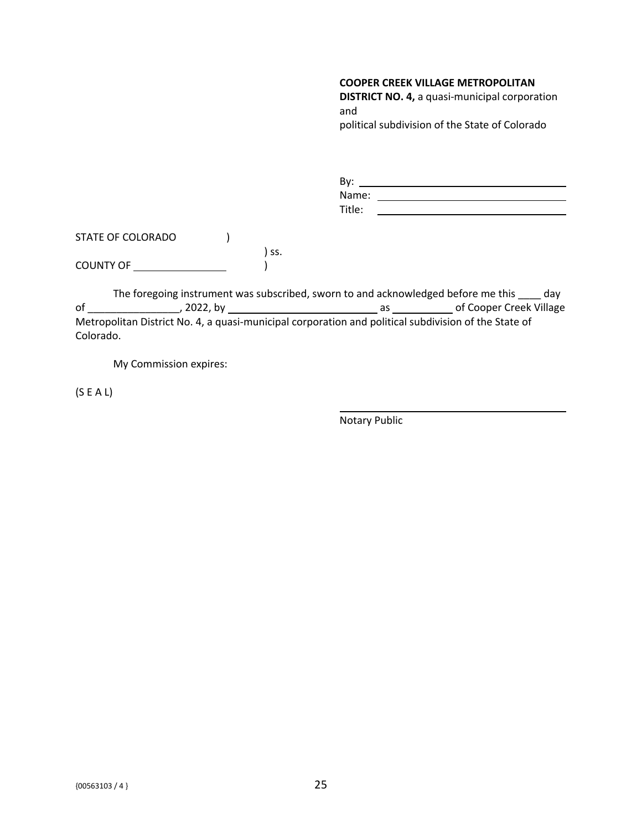**DISTRICT NO. 4,** a quasi-municipal corporation and political subdivision of the State of Colorado

| By:    |  |
|--------|--|
| Name:  |  |
| Title: |  |

STATE OF COLORADO (1) ) ss. COUNTY OF )

The foregoing instrument was subscribed, sworn to and acknowledged before me this \_\_\_\_ day of \_\_\_\_\_\_\_\_\_\_\_\_\_\_\_\_, 2022, by as of Cooper Creek Village Metropolitan District No. 4, a quasi-municipal corporation and political subdivision of the State of Colorado.

My Commission expires:

(S E A L)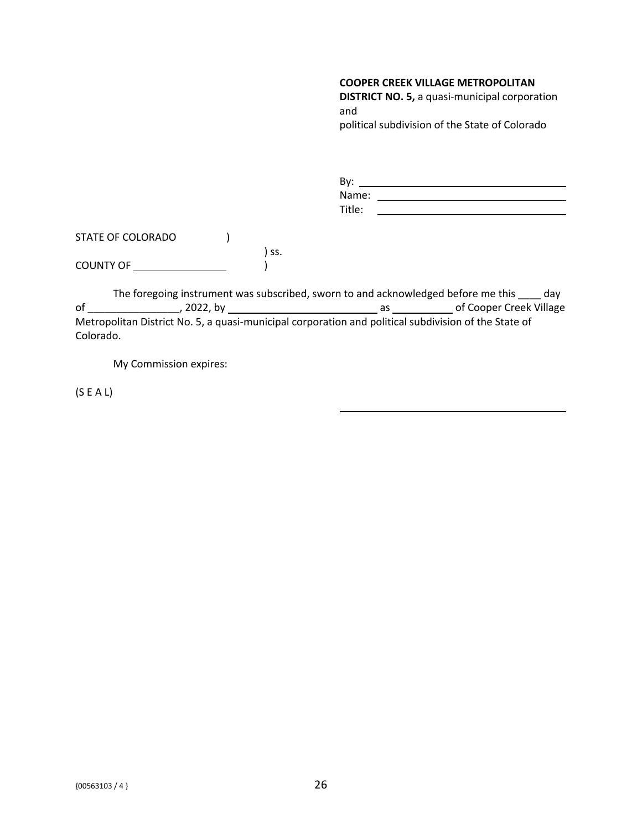**DISTRICT NO. 5,** a quasi-municipal corporation and political subdivision of the State of Colorado

| By:    |  |
|--------|--|
| Name:  |  |
| Title: |  |

STATE OF COLORADO (1) ) ss. COUNTY OF )

The foregoing instrument was subscribed, sworn to and acknowledged before me this \_\_\_\_ day of \_\_\_\_\_\_\_\_\_\_\_\_\_\_\_\_, 2022, by as of Cooper Creek Village Metropolitan District No. 5, a quasi-municipal corporation and political subdivision of the State of Colorado.

My Commission expires:

(S E A L)